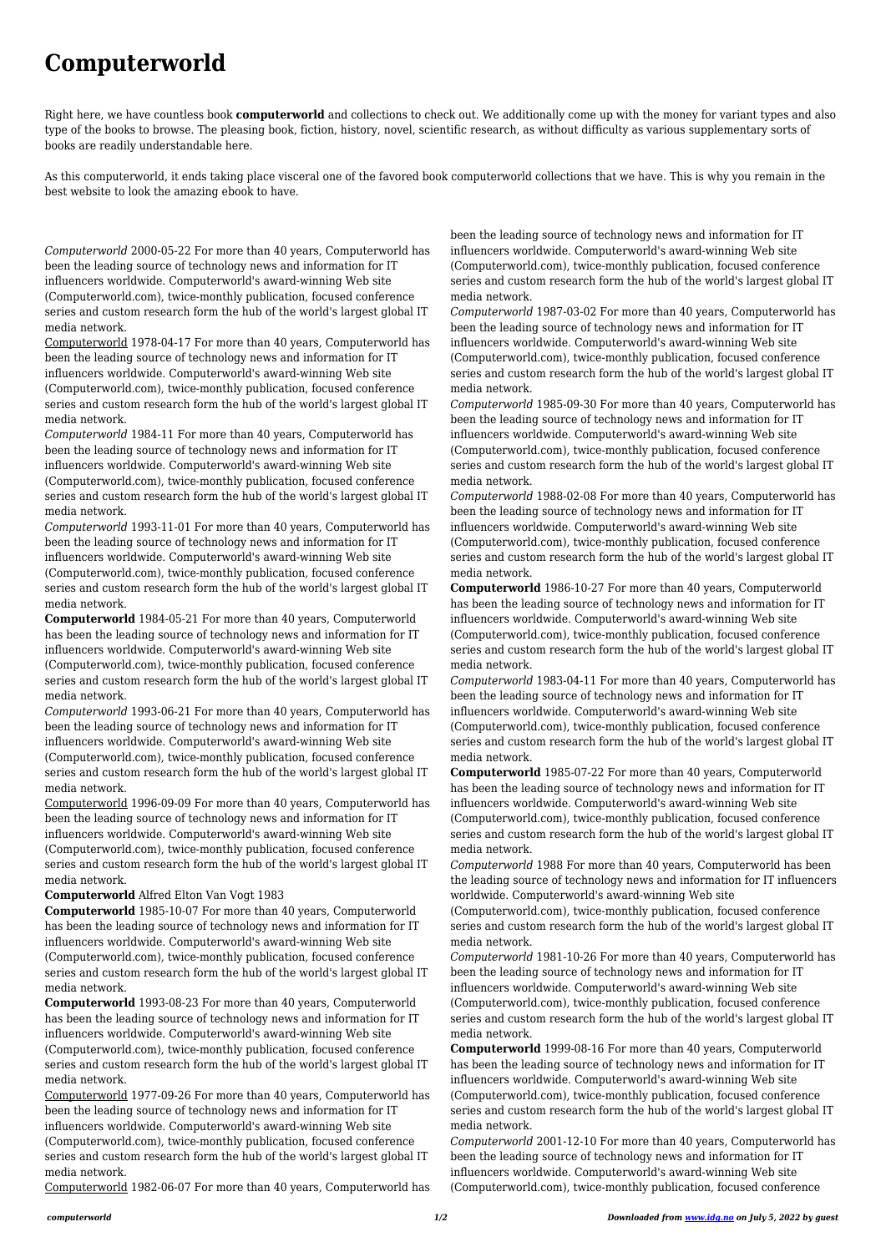## **Computerworld**

Right here, we have countless book **computerworld** and collections to check out. We additionally come up with the money for variant types and also type of the books to browse. The pleasing book, fiction, history, novel, scientific research, as without difficulty as various supplementary sorts of books are readily understandable here.

As this computerworld, it ends taking place visceral one of the favored book computerworld collections that we have. This is why you remain in the best website to look the amazing ebook to have.

*Computerworld* 2000-05-22 For more than 40 years, Computerworld has been the leading source of technology news and information for IT influencers worldwide. Computerworld's award-winning Web site (Computerworld.com), twice-monthly publication, focused conference series and custom research form the hub of the world's largest global IT media network.

Computerworld 1978-04-17 For more than 40 years, Computerworld has been the leading source of technology news and information for IT influencers worldwide. Computerworld's award-winning Web site (Computerworld.com), twice-monthly publication, focused conference series and custom research form the hub of the world's largest global IT media network.

*Computerworld* 1984-11 For more than 40 years, Computerworld has been the leading source of technology news and information for IT influencers worldwide. Computerworld's award-winning Web site (Computerworld.com), twice-monthly publication, focused conference series and custom research form the hub of the world's largest global IT media network.

*Computerworld* 1993-11-01 For more than 40 years, Computerworld has been the leading source of technology news and information for IT influencers worldwide. Computerworld's award-winning Web site (Computerworld.com), twice-monthly publication, focused conference series and custom research form the hub of the world's largest global IT media network.

**Computerworld** 1984-05-21 For more than 40 years, Computerworld has been the leading source of technology news and information for IT influencers worldwide. Computerworld's award-winning Web site (Computerworld.com), twice-monthly publication, focused conference series and custom research form the hub of the world's largest global IT media network.

*Computerworld* 1993-06-21 For more than 40 years, Computerworld has been the leading source of technology news and information for IT influencers worldwide. Computerworld's award-winning Web site (Computerworld.com), twice-monthly publication, focused conference series and custom research form the hub of the world's largest global IT media network.

Computerworld 1996-09-09 For more than 40 years, Computerworld has been the leading source of technology news and information for IT influencers worldwide. Computerworld's award-winning Web site (Computerworld.com), twice-monthly publication, focused conference series and custom research form the hub of the world's largest global IT media network.

**Computerworld** Alfred Elton Van Vogt 1983

**Computerworld** 1985-10-07 For more than 40 years, Computerworld has been the leading source of technology news and information for IT influencers worldwide. Computerworld's award-winning Web site (Computerworld.com), twice-monthly publication, focused conference series and custom research form the hub of the world's largest global IT media network.

**Computerworld** 1993-08-23 For more than 40 years, Computerworld has been the leading source of technology news and information for IT influencers worldwide. Computerworld's award-winning Web site (Computerworld.com), twice-monthly publication, focused conference series and custom research form the hub of the world's largest global IT media network.

Computerworld 1977-09-26 For more than 40 years, Computerworld has been the leading source of technology news and information for IT influencers worldwide. Computerworld's award-winning Web site (Computerworld.com), twice-monthly publication, focused conference series and custom research form the hub of the world's largest global IT media network.

Computerworld 1982-06-07 For more than 40 years, Computerworld has

been the leading source of technology news and information for IT influencers worldwide. Computerworld's award-winning Web site (Computerworld.com), twice-monthly publication, focused conference series and custom research form the hub of the world's largest global IT media network.

*Computerworld* 1987-03-02 For more than 40 years, Computerworld has been the leading source of technology news and information for IT influencers worldwide. Computerworld's award-winning Web site (Computerworld.com), twice-monthly publication, focused conference series and custom research form the hub of the world's largest global IT media network.

*Computerworld* 1985-09-30 For more than 40 years, Computerworld has been the leading source of technology news and information for IT influencers worldwide. Computerworld's award-winning Web site (Computerworld.com), twice-monthly publication, focused conference series and custom research form the hub of the world's largest global IT media network.

*Computerworld* 1988-02-08 For more than 40 years, Computerworld has been the leading source of technology news and information for IT influencers worldwide. Computerworld's award-winning Web site (Computerworld.com), twice-monthly publication, focused conference series and custom research form the hub of the world's largest global IT media network.

**Computerworld** 1986-10-27 For more than 40 years, Computerworld has been the leading source of technology news and information for IT influencers worldwide. Computerworld's award-winning Web site (Computerworld.com), twice-monthly publication, focused conference series and custom research form the hub of the world's largest global IT media network.

*Computerworld* 1983-04-11 For more than 40 years, Computerworld has been the leading source of technology news and information for IT influencers worldwide. Computerworld's award-winning Web site (Computerworld.com), twice-monthly publication, focused conference series and custom research form the hub of the world's largest global IT media network.

**Computerworld** 1985-07-22 For more than 40 years, Computerworld has been the leading source of technology news and information for IT influencers worldwide. Computerworld's award-winning Web site (Computerworld.com), twice-monthly publication, focused conference series and custom research form the hub of the world's largest global IT media network.

*Computerworld* 1988 For more than 40 years, Computerworld has been the leading source of technology news and information for IT influencers worldwide. Computerworld's award-winning Web site

(Computerworld.com), twice-monthly publication, focused conference series and custom research form the hub of the world's largest global IT media network.

*Computerworld* 1981-10-26 For more than 40 years, Computerworld has been the leading source of technology news and information for IT influencers worldwide. Computerworld's award-winning Web site (Computerworld.com), twice-monthly publication, focused conference series and custom research form the hub of the world's largest global IT media network.

**Computerworld** 1999-08-16 For more than 40 years, Computerworld has been the leading source of technology news and information for IT influencers worldwide. Computerworld's award-winning Web site (Computerworld.com), twice-monthly publication, focused conference series and custom research form the hub of the world's largest global IT media network.

*Computerworld* 2001-12-10 For more than 40 years, Computerworld has been the leading source of technology news and information for IT influencers worldwide. Computerworld's award-winning Web site (Computerworld.com), twice-monthly publication, focused conference